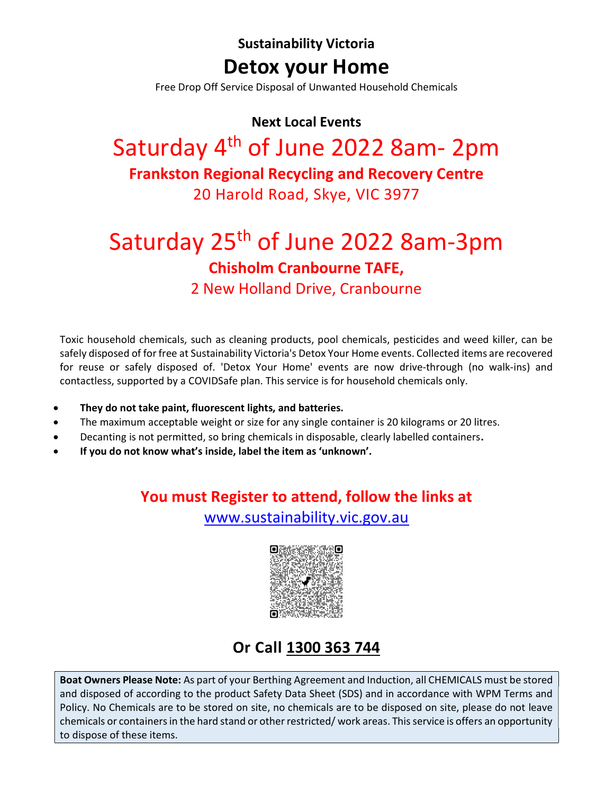Sustainability Victoria Detox your Home

Free Drop Off Service Disposal of Unwanted Household Chemicals

#### Next Local Events

## Saturday 4<sup>th</sup> of June 2022 8am- 2pm Frankston Regional Recycling and Recovery Centre 20 Harold Road, Skye, VIC 3977

# Saturday 25<sup>th</sup> of June 2022 8am-3pm Chisholm Cranbourne TAFE,

2 New Holland Drive, Cranbourne

Toxic household chemicals, such as cleaning products, pool chemicals, pesticides and weed killer, can be safely disposed of for free at Sustainability Victoria's Detox Your Home events. Collected items are recovered for reuse or safely disposed of. 'Detox Your Home' events are now drive-through (no walk-ins) and contactless, supported by a COVIDSafe plan. This service is for household chemicals only.

- They do not take paint, fluorescent lights, and batteries.
- The maximum acceptable weight or size for any single container is 20 kilograms or 20 litres.
- Decanting is not permitted, so bring chemicals in disposable, clearly labelled containers.
- If you do not know what's inside, label the item as 'unknown'.

## You must Register to attend, follow the links at

www.sustainability.vic.gov.au



## Or Call 1300 363 744

Boat Owners Please Note: As part of your Berthing Agreement and Induction, all CHEMICALS must be stored and disposed of according to the product Safety Data Sheet (SDS) and in accordance with WPM Terms and Policy. No Chemicals are to be stored on site, no chemicals are to be disposed on site, please do not leave chemicals or containers in the hard stand or other restricted/ work areas. This service is offers an opportunity to dispose of these items.